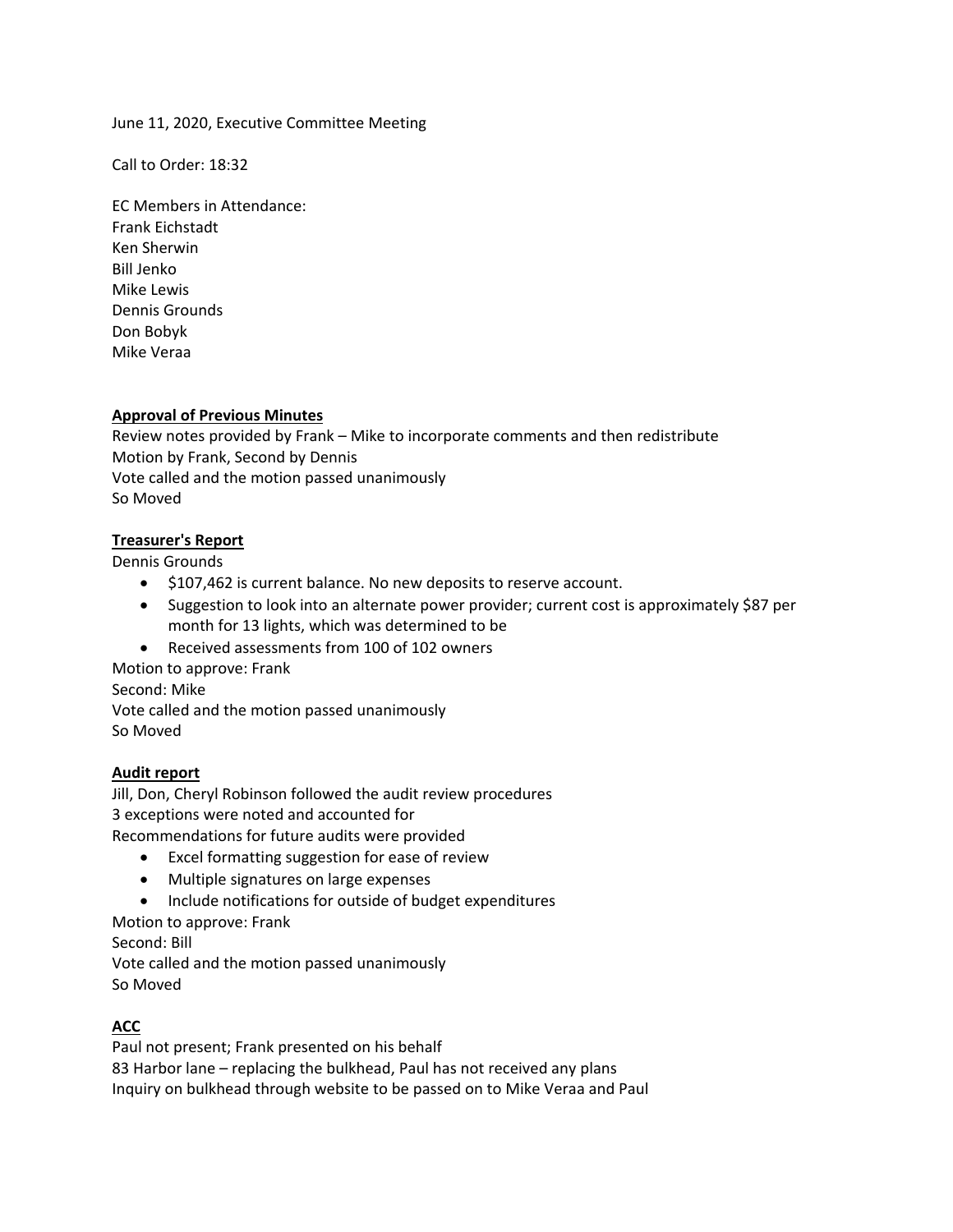## June 11, 2020, Executive Committee Meeting

Call to Order: 18:32

EC Members in Attendance: Frank Eichstadt Ken Sherwin Bill Jenko Mike Lewis Dennis Grounds Don Bobyk Mike Veraa

#### **Approval of Previous Minutes**

Review notes provided by Frank – Mike to incorporate comments and then redistribute Motion by Frank, Second by Dennis Vote called and the motion passed unanimously So Moved

#### **Treasurer's Report**

Dennis Grounds

- $\bullet$  \$107,462 is current balance. No new deposits to reserve account.
- Suggestion to look into an alternate power provider; current cost is approximately \$87 per month for 13 lights, which was determined to be
- Received assessments from 100 of 102 owners

Motion to approve: Frank Second: Mike Vote called and the motion passed unanimously So Moved

#### **Audit report**

Jill, Don, Cheryl Robinson followed the audit review procedures 3 exceptions were noted and accounted for Recommendations for future audits were provided

- Excel formatting suggestion for ease of review
- Multiple signatures on large expenses
- Include notifications for outside of budget expenditures
- Motion to approve: Frank

Second: Bill

Vote called and the motion passed unanimously So Moved

## **ACC**

Paul not present; Frank presented on his behalf 83 Harbor lane – replacing the bulkhead, Paul has not received any plans Inquiry on bulkhead through website to be passed on to Mike Veraa and Paul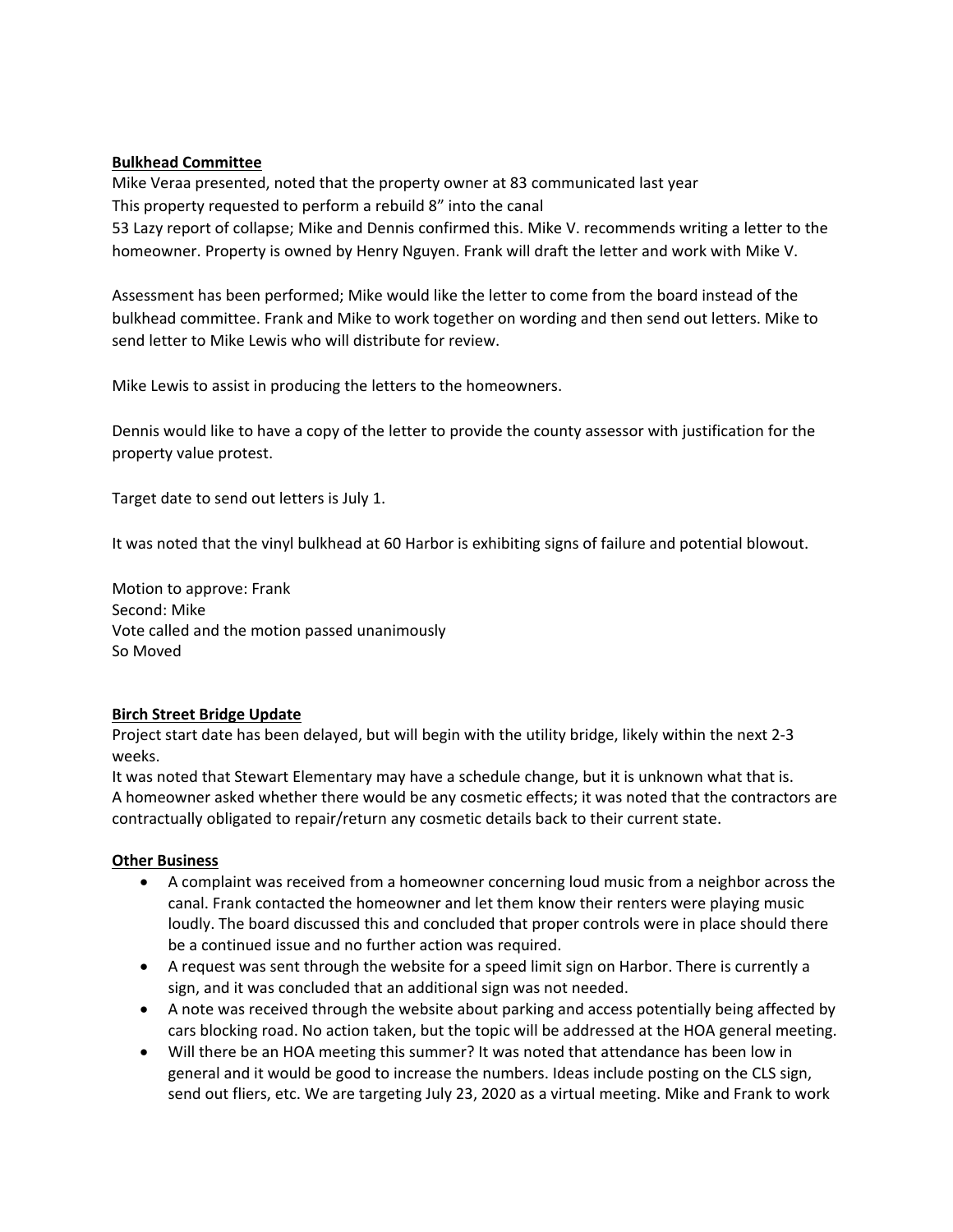# **Bulkhead Committee**

Mike Veraa presented, noted that the property owner at 83 communicated last year This property requested to perform a rebuild 8" into the canal 53 Lazy report of collapse; Mike and Dennis confirmed this. Mike V. recommends writing a letter to the homeowner. Property is owned by Henry Nguyen. Frank will draft the letter and work with Mike V.

Assessment has been performed; Mike would like the letter to come from the board instead of the bulkhead committee. Frank and Mike to work together on wording and then send out letters. Mike to send letter to Mike Lewis who will distribute for review.

Mike Lewis to assist in producing the letters to the homeowners.

Dennis would like to have a copy of the letter to provide the county assessor with justification for the property value protest.

Target date to send out letters is July 1.

It was noted that the vinyl bulkhead at 60 Harbor is exhibiting signs of failure and potential blowout.

Motion to approve: Frank Second: Mike Vote called and the motion passed unanimously So Moved

## **Birch Street Bridge Update**

Project start date has been delayed, but will begin with the utility bridge, likely within the next 2‐3 weeks.

It was noted that Stewart Elementary may have a schedule change, but it is unknown what that is. A homeowner asked whether there would be any cosmetic effects; it was noted that the contractors are contractually obligated to repair/return any cosmetic details back to their current state.

## **Other Business**

- A complaint was received from a homeowner concerning loud music from a neighbor across the canal. Frank contacted the homeowner and let them know their renters were playing music loudly. The board discussed this and concluded that proper controls were in place should there be a continued issue and no further action was required.
- A request was sent through the website for a speed limit sign on Harbor. There is currently a sign, and it was concluded that an additional sign was not needed.
- A note was received through the website about parking and access potentially being affected by cars blocking road. No action taken, but the topic will be addressed at the HOA general meeting.
- Will there be an HOA meeting this summer? It was noted that attendance has been low in general and it would be good to increase the numbers. Ideas include posting on the CLS sign, send out fliers, etc. We are targeting July 23, 2020 as a virtual meeting. Mike and Frank to work